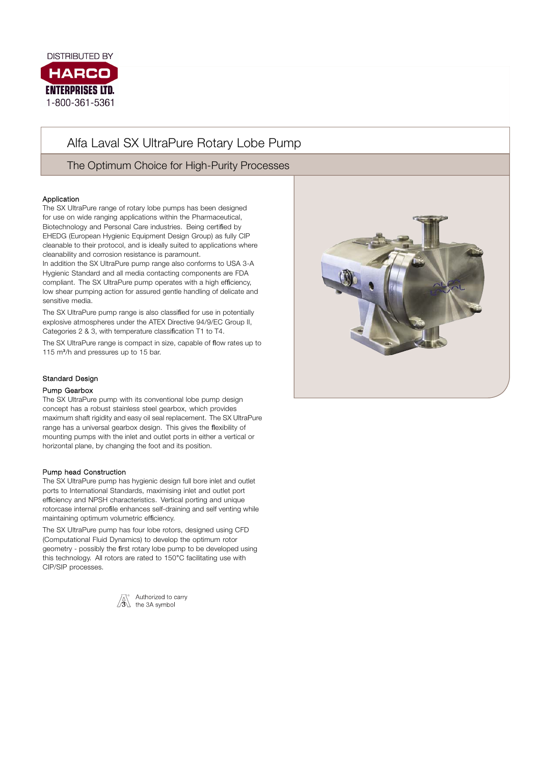

# Alfa Laval SX UltraPure Rotary Lobe Pump

The Optimum Choice for High-Purity Processes

## Application

The SX UltraPure range of rotary lobe pumps has been designed for use on wide ranging applications within the Pharmaceutical, Biotechnology and Personal Care industries. Being certified by EHEDG (European Hygienic Equipment Design Group) as fully CIP cleanable to their protocol, and is ideally suited to applications where cleanability and corrosion resistance is paramount.

In addition the SX UltraPure pump range also conforms to USA 3-A Hygienic Standard and all media contacting components are FDA compliant. The SX UltraPure pump operates with a high efficiency, low shear pumping action for assured gentle handling of delicate and sensitive media.

The SX UltraPure pump range is also classified for use in potentially explosive atmospheres under the ATEX Directive 94/9/EC Group II, Categories 2 & 3, with temperature classification T1 to T4.

The SX UltraPure range is compact in size, capable of flow rates up to 115 m<sup>3</sup>/h and pressures up to 15 bar.

#### Standard Design

#### Pump Gearbox

. maximum shaft rigidity and easy oil seal replacement. The SX UltraPure The SX UltraPure pump with its conventional lobe pump design concept has a robust stainless steel gearbox, which provides range has a universal gearbox design. This gives the flexibility of mounting pumps with the inlet and outlet ports in either a vertical or horizontal plane, by changing the foot and its position.

#### Pump head Construction

The SX UltraPure pump has hygienic design full bore inlet and outlet ports to International Standards, maximising inlet and outlet port efficiency and NPSH characteristics. Vertical porting and unique rotorcase internal profile enhances self-draining and self venting while maintaining optimum volumetric efficiency.

The SX UltraPure pump has four lobe rotors, designed using CFD (Computational Fluid Dynamics) to develop the optimum rotor geometry - possibly the first rotary lobe pump to be developed using this technology. All rotors are rated to 150°C facilitating use with CIP/SIP processes.



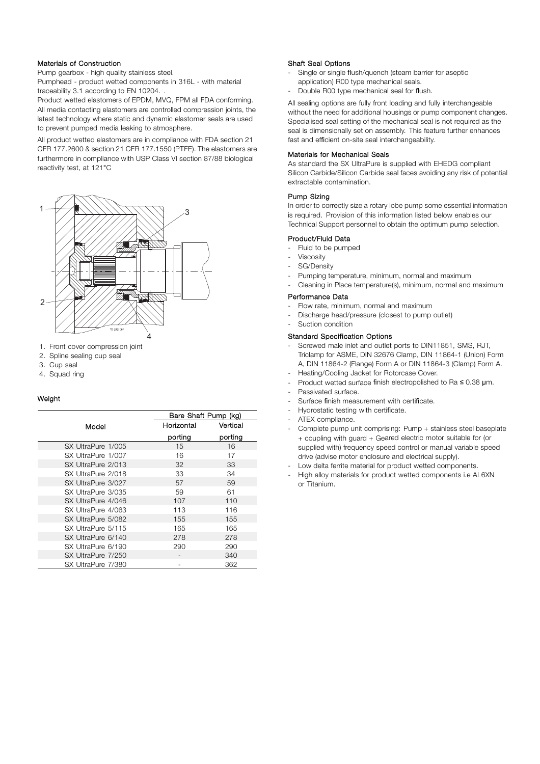#### Materials of Construction

Pump gearbox - high quality stainless steel.

Pumphead - product wetted components in 316L - with material traceability 3.1 according to EN 10204. .

Product wetted elastomers of EPDM, MVQ, FPM all FDA conforming. All media contacting elastomers are controlled compression joints, the latest technology where static and dynamic elastomer seals are used to prevent pumped media leaking to atmosphere.

All product wetted elastomers are in compliance with FDA section 21 CFR 177.2600 & section 21 CFR 177.1550 (PTFE). The elastomers are furthermore in compliance with USP Class VI section 87/88 biological reactivity test, at 121°C



- 1. Front cover compression joint
- 2. Spline sealing cup seal
- 3. Cup seal
- 4. Squad ring

#### Weight

|                    | Bare Shaft Pump (kg) |          |
|--------------------|----------------------|----------|
| Model              | Horizontal           | Vertical |
|                    | porting              | porting  |
| SX UltraPure 1/005 | 15                   | 16       |
| SX UltraPure 1/007 | 16                   | 17       |
| SX UltraPure 2/013 | 32                   | 33       |
| SX UltraPure 2/018 | 33                   | 34       |
| SX UltraPure 3/027 | 57                   | 59       |
| SX UltraPure 3/035 | 59                   | 61       |
| SX UltraPure 4/046 | 107                  | 110      |
| SX UltraPure 4/063 | 113                  | 116      |
| SX UltraPure 5/082 | 155                  | 155      |
| SX UltraPure 5/115 | 165                  | 165      |
| SX UltraPure 6/140 | 278                  | 278      |
| SX UltraPure 6/190 | 290                  | 290      |
| SX UltraPure 7/250 |                      | 340      |
| SX UltraPure 7/380 |                      | 362      |

#### Shaft Seal Options

- Single or single flush/quench (steam barrier for aseptic
- application) R00 type mechanical seals.
- Double R00 type mechanical seal for flush.

All sealing options are fully front loading and fully interchangeable without the need for additional housings or pump component changes. Specialised seal setting of the mechanical seal is not required as the seal is dimensionally set on assembly. This feature further enhances fast and efficient on-site seal interchangeability.

#### Materials for Mechanical Seals

As standard the SX UltraPure is supplied with EHEDG compliant Silicon Carbide/Silicon Carbide seal faces avoiding any risk of potential extractable contamination.

#### Pump Sizing

In order to correctly size a rotary lobe pump some essential information is required. Provision of this information listed below enables our Technical Support personnel to obtain the optimum pump selection.

#### Product/Fluid Data

- Fluid to be pumped
- Viscosity
- SG/Density
- Pumping temperature, minimum, normal and maximum
- Cleaning in Place temperature(s), minimum, normal and maximum

#### Performance Data

- Flow rate, minimum, normal and maximum
- Discharge head/pressure (closest to pump outlet)
- Suction condition

#### Standard Speci**fi**cation Options

- Screwed male inlet and outlet ports to DIN11851, SMS, RJT, Triclamp for ASME, DIN 32676 Clamp, DIN 11864-1 (Union) Form A, DIN 11864-2 (Flange) Form A or DIN 11864-3 (Clamp) Form A.
- Heating/Cooling Jacket for Rotorcase Cover.
- Product wetted surface finish electropolished to Ra ≤ 0.38 μm.
- Passivated surface.
- Surface finish measurement with certificate.
- Hydrostatic testing with certificate.
- ATEX compliance.
- Complete pump unit comprising: Pump + stainless steel baseplate + coupling with guard + Geared electric motor suitable for (or supplied with) frequency speed control or manual variable speed drive (advise motor enclosure and electrical supply).
- Low delta ferrite material for product wetted components.
- High alloy materials for product wetted components i.e AL6XN or Titanium.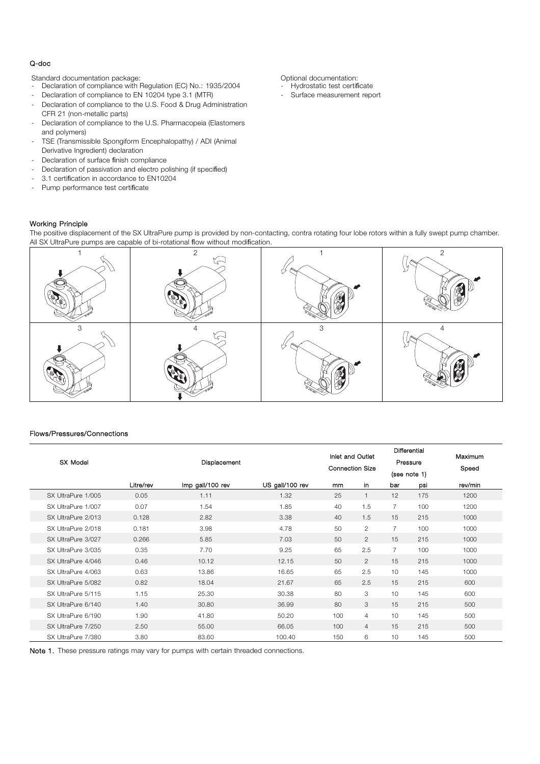#### Q-doc

Standard documentation package:  $\Box$  Optional documentation:

- Declaration of compliance with Regulation (EC) No.: 1935/2004
- Declaration of compliance to EN 10204 type 3.1 (MTR)
- Declaration of compliance to the U.S. Food & Drug Administration CFR 21 (non-metallic parts)
- Declaration of compliance to the U.S. Pharmacopeia (Elastomers and polymers)
- TSE (Transmissible Spongiform Encephalopathy) / ADI (Animal Derivative Ingredient) declaration
- Declaration of surface finish compliance
- Declaration of passivation and electro polishing (if specified)
- 3.1 certification in accordance to EN10204
- Pump performance test certificate

- Hydrostatic test certificate
- Surface measurement report

Working Principle

The positive displacement of the SX UltraPure pump is provided by non-contacting, contra rotating four lobe rotors within a fully swept pump chamber. All SX UltraPure pumps are capable of bi-rotational flow without modification.



#### Flows/Pressures/Connections

| SX Model           |           | Displacement     |                 | Inlet and Outlet<br><b>Connection Size</b> |                | Differential<br>Pressure<br>(see note 1) | Maximum<br>Speed |         |
|--------------------|-----------|------------------|-----------------|--------------------------------------------|----------------|------------------------------------------|------------------|---------|
|                    | Litre/rev | Imp gall/100 rev | US gall/100 rev | mm                                         | in             | bar                                      | psi              | rev/min |
| SX UltraPure 1/005 | 0.05      | 1.11             | 1.32            | 25                                         |                | 12                                       | 175              | 1200    |
| SX UltraPure 1/007 | 0.07      | 1.54             | 1.85            | 40                                         | 1.5            | $\overline{7}$                           | 100              | 1200    |
| SX UltraPure 2/013 | 0.128     | 2.82             | 3.38            | 40                                         | 1.5            | 15                                       | 215              | 1000    |
| SX UltraPure 2/018 | 0.181     | 3.98             | 4.78            | 50                                         | $\overline{2}$ | $\overline{7}$                           | 100              | 1000    |
| SX UltraPure 3/027 | 0.266     | 5.85             | 7.03            | 50                                         | $\overline{2}$ | 15                                       | 215              | 1000    |
| SX UltraPure 3/035 | 0.35      | 7.70             | 9.25            | 65                                         | 2.5            | $\overline{7}$                           | 100              | 1000    |
| SX UltraPure 4/046 | 0.46      | 10.12            | 12.15           | 50                                         | $\overline{2}$ | 15                                       | 215              | 1000    |
| SX UltraPure 4/063 | 0.63      | 13.86            | 16.65           | 65                                         | 2.5            | 10                                       | 145              | 1000    |
| SX UltraPure 5/082 | 0.82      | 18.04            | 21.67           | 65                                         | 2.5            | 15                                       | 215              | 600     |
| SX UltraPure 5/115 | 1.15      | 25.30            | 30.38           | 80                                         | 3              | 10                                       | 145              | 600     |
| SX UltraPure 6/140 | 1.40      | 30.80            | 36.99           | 80                                         | 3              | 15                                       | 215              | 500     |
| SX UltraPure 6/190 | 1.90      | 41.80            | 50.20           | 100                                        | $\overline{4}$ | 10                                       | 145              | 500     |
| SX UltraPure 7/250 | 2.50      | 55.00            | 66.05           | 100                                        | $\overline{4}$ | 15                                       | 215              | 500     |
| SX UltraPure 7/380 | 3.80      | 83.60            | 100.40          | 150                                        | 6              | 10                                       | 145              | 500     |

Note 1. These pressure ratings may vary for pumps with certain threaded connections.